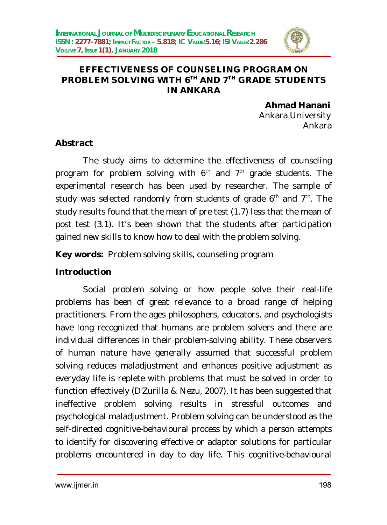

#### **EFFECTIVENESS OF COUNSELING PROGRAM ON PROBLEM SOLVING WITH 6TH AND 7TH GRADE STUDENTS IN ANKARA**

**Ahmad Hanani** Ankara University Ankara

#### **Abstract**

The study aims to determine the effectiveness of counseling program for problem solving with  $6<sup>th</sup>$  and  $7<sup>th</sup>$  grade students. The experimental research has been used by researcher. The sample of study was selected randomly from students of grade 6<sup>th</sup> and 7<sup>th</sup>. The study results found that the mean of pre test (1.7) less that the mean of post test (3.1). It's been shown that the students after participation gained new skills to know how to deal with the problem solving.

**Key words:** Problem solving skills, counseling program

## **Introduction**

Social problem solving or how people solve their real-life problems has been of great relevance to a broad range of helping practitioners. From the ages philosophers, educators, and psychologists have long recognized that humans are problem solvers and there are individual differences in their problem-solving ability. These observers of human nature have generally assumed that successful problem solving reduces maladjustment and enhances positive adjustment as everyday life is replete with problems that must be solved in order to function effectively (D'Zurilla & Nezu, 2007). It has been suggested that ineffective problem solving results in stressful outcomes and psychological maladjustment. Problem solving can be understood as the self-directed cognitive-behavioural process by which a person attempts to identify for discovering effective or adaptor solutions for particular problems encountered in day to day life. This cognitive-behavioural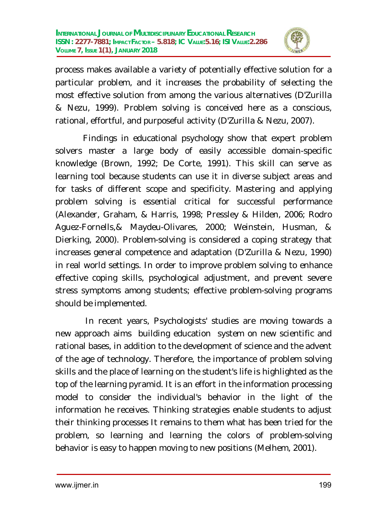

process makes available a variety of potentially effective solution for a particular problem, and it increases the probability of selecting the most effective solution from among the various alternatives (D'Zurilla & Nezu, 1999). Problem solving is conceived here as a conscious, rational, effortful, and purposeful activity (D'Zurilla & Nezu, 2007).

Findings in educational psychology show that expert problem solvers master a large body of easily accessible domain-specific knowledge (Brown, 1992; De Corte, 1991). This skill can serve as learning tool because students can use it in diverse subject areas and for tasks of different scope and specificity. Mastering and applying problem solving is essential critical for successful performance (Alexander, Graham, & Harris, 1998; Pressley & Hilden, 2006; Rodro Aguez-Fornells,& Maydeu-Olivares, 2000; Weinstein, Husman, & Dierking, 2000). Problem-solving is considered a coping strategy that increases general competence and adaptation (D'Zurilla & Nezu, 1990) in real world settings. In order to improve problem solving to enhance effective coping skills, psychological adjustment, and prevent severe stress symptoms among students; effective problem-solving programs should be implemented.

In recent years, Psychologists' studies are moving towards a new approach aims building education system on new scientific and rational bases, in addition to the development of science and the advent of the age of technology. Therefore, the importance of problem solving skills and the place of learning on the student's life is highlighted as the top of the learning pyramid. It is an effort in the information processing model to consider the individual's behavior in the light of the information he receives. Thinking strategies enable students to adjust their thinking processes It remains to them what has been tried for the problem, so learning and learning the colors of problem-solving behavior is easy to happen moving to new positions (Melhem, 2001).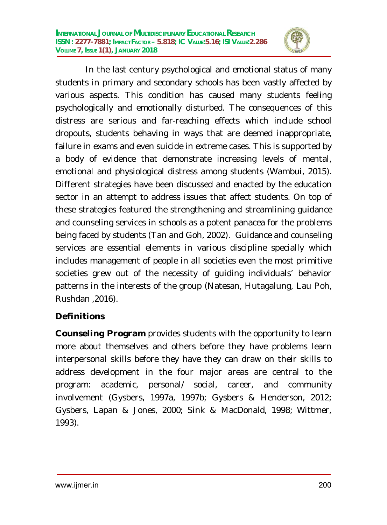

In the last century psychological and emotional status of many students in primary and secondary schools has been vastly affected by various aspects. This condition has caused many students feeling psychologically and emotionally disturbed. The consequences of this distress are serious and far-reaching effects which include school dropouts, students behaving in ways that are deemed inappropriate, failure in exams and even suicide in extreme cases. This is supported by a body of evidence that demonstrate increasing levels of mental, emotional and physiological distress among students (Wambui, 2015). Different strategies have been discussed and enacted by the education sector in an attempt to address issues that affect students. On top of these strategies featured the strengthening and streamlining guidance and counseling services in schools as a potent panacea for the problems being faced by students (Tan and Goh, 2002). Guidance and counseling services are essential elements in various discipline specially which includes management of people in all societies even the most primitive societies grew out of the necessity of guiding individuals' behavior patterns in the interests of the group (Natesan, Hutagalung, Lau Poh, Rushdan ,2016).

# **Definitions**

**Counseling Program** provides students with the opportunity to learn more about themselves and others before they have problems learn interpersonal skills before they have they can draw on their skills to address development in the four major areas are central to the program: academic, personal/ social, career, and community involvement (Gysbers, 1997a, 1997b; Gysbers & Henderson, 2012; Gysbers, Lapan & Jones, 2000; Sink & MacDonald, 1998; Wittmer, 1993).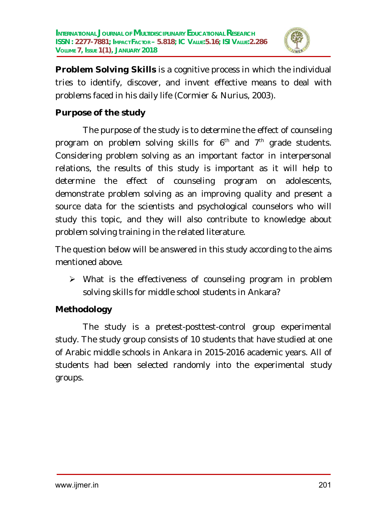

**Problem Solving Skills** is a cognitive process in which the individual tries to identify, discover, and invent effective means to deal with problems faced in his daily life (Cormier & Nurius, 2003).

### **Purpose of the study**

The purpose of the study is to determine the effect of counseling program on problem solving skills for  $6<sup>th</sup>$  and  $7<sup>th</sup>$  grade students. Considering problem solving as an important factor in interpersonal relations, the results of this study is important as it will help to determine the effect of counseling program on adolescents, demonstrate problem solving as an improving quality and present a source data for the scientists and psychological counselors who will study this topic, and they will also contribute to knowledge about problem solving training in the related literature.

The question below will be answered in this study according to the aims mentioned above.

 $\triangleright$  What is the effectiveness of counseling program in problem solving skills for middle school students in Ankara?

## **Methodology**

The study is a pretest-posttest-control group experimental study. The study group consists of 10 students that have studied at one of Arabic middle schools in Ankara in 2015-2016 academic years. All of students had been selected randomly into the experimental study groups.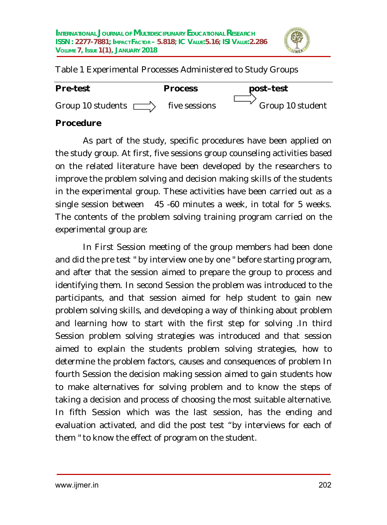

Table 1 Experimental Processes Administered to Study Groups

| <b>Pre-test</b>          | <b>Process</b> | post-test        |
|--------------------------|----------------|------------------|
| Group 10 students $\Box$ | five sessions  | Group 10 student |

### **Procedure**

As part of the study, specific procedures have been applied on the study group. At first, five sessions group counseling activities based on the related literature have been developed by the researchers to improve the problem solving and decision making skills of the students in the experimental group. These activities have been carried out as a single session between 45 -60 minutes a week, in total for 5 weeks. The contents of the problem solving training program carried on the experimental group are:

In First Session meeting of the group members had been done and did the pre test " by interview one by one " before starting program, and after that the session aimed to prepare the group to process and identifying them. In second Session the problem was introduced to the participants, and that session aimed for help student to gain new problem solving skills, and developing a way of thinking about problem and learning how to start with the first step for solving .In third Session problem solving strategies was introduced and that session aimed to explain the students problem solving strategies, how to determine the problem factors, causes and consequences of problem In fourth Session the decision making session aimed to gain students how to make alternatives for solving problem and to know the steps of taking a decision and process of choosing the most suitable alternative. In fifth Session which was the last session, has the ending and evaluation activated, and did the post test "by interviews for each of them " to know the effect of program on the student.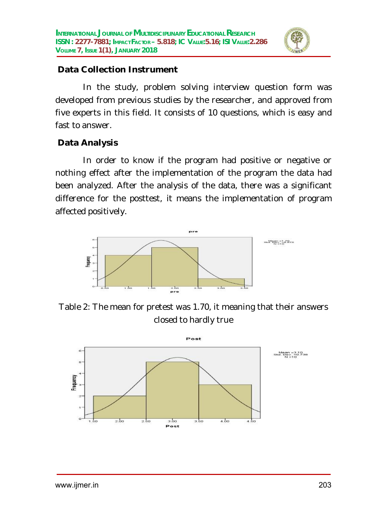

#### **Data Collection Instrument**

In the study, problem solving interview question form was developed from previous studies by the researcher, and approved from five experts in this field. It consists of 10 questions, which is easy and fast to answer.

# **Data Analysis**

In order to know if the program had positive or negative or nothing effect after the implementation of the program the data had been analyzed. After the analysis of the data, there was a significant difference for the posttest, it means the implementation of program affected positively.



Table 2: The mean for pretest was 1.70, it meaning that their answers closed to hardly true

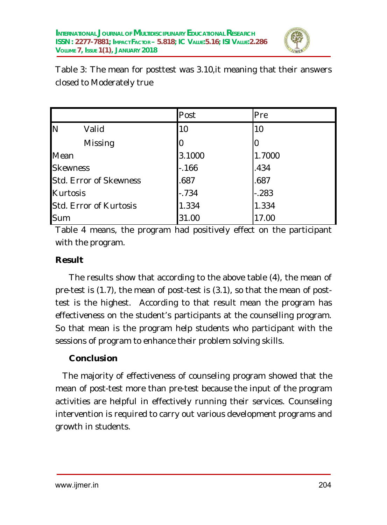

Table 3: The mean for posttest was 3.10,it meaning that their answers closed to Moderately true

|                        |         | Post   | Pre     |  |
|------------------------|---------|--------|---------|--|
| N                      | Valid   | 10     | 10      |  |
|                        | Missing |        | 0       |  |
| Mean                   |         | 3.1000 | 1.7000  |  |
| <b>Skewness</b>        |         | $-166$ | .434    |  |
| Std. Error of Skewness |         | .687   | .687    |  |
| Kurtosis               |         | $-734$ | $-.283$ |  |
| Std. Error of Kurtosis |         | 1.334  | 1.334   |  |
| Sum                    |         | 31.00  | 17.00   |  |

Table 4 means, the program had positively effect on the participant with the program.

### **Result**

The results show that according to the above table (4), the mean of pre-test is (1.7), the mean of post-test is (3.1), so that the mean of posttest is the highest. According to that result mean the program has effectiveness on the student's participants at the counselling program. So that mean is the program help students who participant with the sessions of program to enhance their problem solving skills.

## **Conclusion**

 The majority of effectiveness of counseling program showed that the mean of post-test more than pre-test because the input of the program activities are helpful in effectively running their services. Counseling intervention is required to carry out various development programs and growth in students.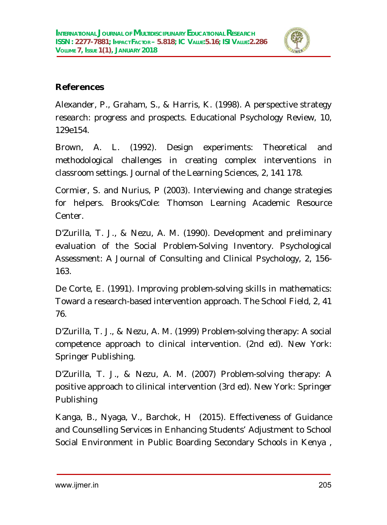

## **References**

Alexander, P., Graham, S., & Harris, K. (1998). A perspective strategy research: progress and prospects. Educational Psychology Review, 10, 129e154.

Brown, A. L. (1992). Design experiments: Theoretical and methodological challenges in creating complex interventions in classroom settings. Journal of the Learning Sciences, 2, 141 178.

Cormier, S. and Nurius, P (2003). Interviewing and change strategies for helpers. Brooks/Cole: Thomson Learning Academic Resource Center.

D'Zurilla, T. J., & Nezu, A. M. (1990). Development and preliminary evaluation of the Social Problem-Solving Inventory. Psychological Assessment: A Journal of Consulting and Clinical Psychology, 2, 156- 163.

De Corte, E. (1991). Improving problem-solving skills in mathematics: Toward a research-based intervention approach. The School Field, 2, 41 76.

D'Zurilla, T. J., & Nezu, A. M. (1999) Problem-solving therapy: A social competence approach to clinical intervention. (2nd ed). New York: Springer Publishing.

D'Zurilla, T. J., & Nezu, A. M. (2007) Problem-solving therapy: A positive approach to cilinical intervention (3rd ed). New York: Springer Publishing

Kanga, B., Nyaga, V., Barchok, H (2015). Effectiveness of Guidance and Counselling Services in Enhancing Students' Adjustment to School Social Environment in Public Boarding Secondary Schools in Kenya ,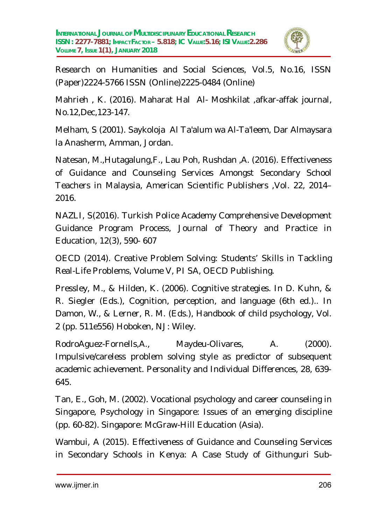

Research on Humanities and Social Sciences, Vol.5, No.16, ISSN (Paper)2224-5766 ISSN (Online)2225-0484 (Online)

Mahrieh , K. (2016). Maharat Hal Al- Moshkilat ,afkar-affak journal, No.12,Dec,123-147.

Melham, S (2001). Saykoloja Al Ta'alum wa Al-Ta'leem, Dar Almaysara la Anasherm, Amman, Jordan.

Natesan, M.,Hutagalung,F., Lau Poh, Rushdan ,A. (2016). Effectiveness of Guidance and Counseling Services Amongst Secondary School Teachers in Malaysia, American Scientific Publishers ,Vol. 22, 2014– 2016.

NAZLI, S(2016). Turkish Police Academy Comprehensive Development Guidance Program Process, Journal of Theory and Practice in Education, 12(3), 590- 607

OECD (2014). Creative Problem Solving: Students' Skills in Tackling Real-Life Problems, Volume V, PI SA, OECD Publishing.

Pressley, M., & Hilden, K. (2006). Cognitive strategies. In D. Kuhn, & R. Siegler (Eds.), Cognition, perception, and language (6th ed.).. In Damon, W., & Lerner, R. M. (Eds.), Handbook of child psychology, Vol. 2 (pp. 511e556) Hoboken, NJ: Wiley.

RodroAguez-Fornells,A., Maydeu-Olivares, A. (2000). Impulsive/careless problem solving style as predictor of subsequent academic achievement. Personality and Individual Differences, 28, 639- 645.

Tan, E., Goh, M. (2002). Vocational psychology and career counseling in Singapore, Psychology in Singapore: Issues of an emerging discipline (pp. 60-82). Singapore: McGraw-Hill Education (Asia).

Wambui, A (2015). Effectiveness of Guidance and Counseling Services in Secondary Schools in Kenya: A Case Study of Githunguri Sub-